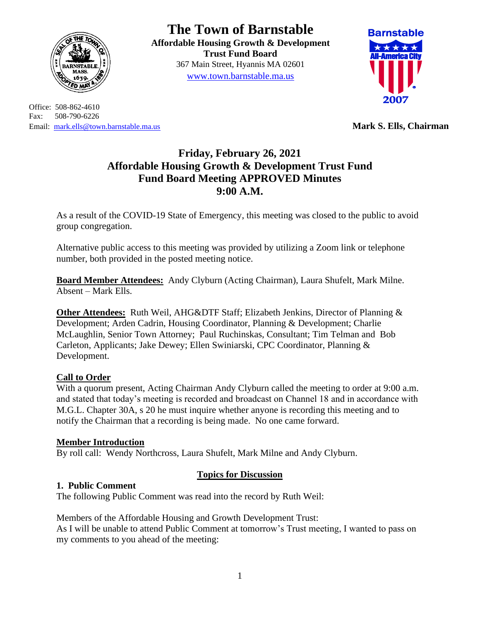

Office: 508-862-4610 Fax: 508-790-6226 Email: [mark.ells@town.barnstable.ma.us](mailto:mark.ells@town.barnstable.ma.us) **Mark S. Ells, Chairman**

# **The Town of Barnstable**

**Affordable Housing Growth & Development Trust Fund Board**  367 Main Street, Hyannis MA 02601 [www.town.barnstable.ma.us](http://www.town.barnstable.ma.us/)



# **Friday, February 26, 2021 Affordable Housing Growth & Development Trust Fund Fund Board Meeting APPROVED Minutes 9:00 A.M.**

As a result of the COVID-19 State of Emergency, this meeting was closed to the public to avoid group congregation.

Alternative public access to this meeting was provided by utilizing a Zoom link or telephone number, both provided in the posted meeting notice.

**Board Member Attendees:** Andy Clyburn (Acting Chairman), Laura Shufelt, Mark Milne. Absent – Mark Ells.

**Other Attendees:** Ruth Weil, AHG&DTF Staff; Elizabeth Jenkins, Director of Planning & Development; Arden Cadrin, Housing Coordinator, Planning & Development; Charlie McLaughlin, Senior Town Attorney; Paul Ruchinskas, Consultant; Tim Telman and Bob Carleton, Applicants; Jake Dewey; Ellen Swiniarski, CPC Coordinator, Planning & Development.

# **Call to Order**

With a quorum present, Acting Chairman Andy Clyburn called the meeting to order at 9:00 a.m. and stated that today's meeting is recorded and broadcast on Channel 18 and in accordance with M.G.L. Chapter 30A, s 20 he must inquire whether anyone is recording this meeting and to notify the Chairman that a recording is being made. No one came forward.

# **Member Introduction**

By roll call: Wendy Northcross, Laura Shufelt, Mark Milne and Andy Clyburn.

# **Topics for Discussion**

# **1. Public Comment**

The following Public Comment was read into the record by Ruth Weil:

Members of the Affordable Housing and Growth Development Trust: As I will be unable to attend Public Comment at tomorrow's Trust meeting, I wanted to pass on my comments to you ahead of the meeting: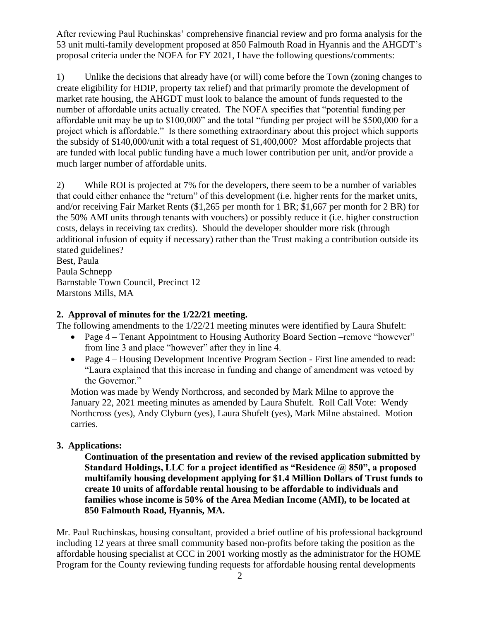After reviewing Paul Ruchinskas' comprehensive financial review and pro forma analysis for the 53 unit multi-family development proposed at 850 Falmouth Road in Hyannis and the AHGDT's proposal criteria under the NOFA for FY 2021, I have the following questions/comments:

1) Unlike the decisions that already have (or will) come before the Town (zoning changes to create eligibility for HDIP, property tax relief) and that primarily promote the development of market rate housing, the AHGDT must look to balance the amount of funds requested to the number of affordable units actually created. The NOFA specifies that "potential funding per affordable unit may be up to \$100,000" and the total "funding per project will be \$500,000 for a project which is affordable." Is there something extraordinary about this project which supports the subsidy of \$140,000/unit with a total request of \$1,400,000? Most affordable projects that are funded with local public funding have a much lower contribution per unit, and/or provide a much larger number of affordable units.

2) While ROI is projected at 7% for the developers, there seem to be a number of variables that could either enhance the "return" of this development (i.e. higher rents for the market units, and/or receiving Fair Market Rents (\$1,265 per month for 1 BR; \$1,667 per month for 2 BR) for the 50% AMI units through tenants with vouchers) or possibly reduce it (i.e. higher construction costs, delays in receiving tax credits). Should the developer shoulder more risk (through additional infusion of equity if necessary) rather than the Trust making a contribution outside its stated guidelines?

Best, Paula Paula Schnepp Barnstable Town Council, Precinct 12 Marstons Mills, MA

# **2. Approval of minutes for the 1/22/21 meeting.**

The following amendments to the 1/22/21 meeting minutes were identified by Laura Shufelt:

- Page 4 Tenant Appointment to Housing Authority Board Section –remove "however" from line 3 and place "however" after they in line 4.
- Page 4 Housing Development Incentive Program Section First line amended to read: "Laura explained that this increase in funding and change of amendment was vetoed by the Governor."

Motion was made by Wendy Northcross, and seconded by Mark Milne to approve the January 22, 2021 meeting minutes as amended by Laura Shufelt. Roll Call Vote: Wendy Northcross (yes), Andy Clyburn (yes), Laura Shufelt (yes), Mark Milne abstained. Motion carries.

# **3. Applications:**

**Continuation of the presentation and review of the revised application submitted by Standard Holdings, LLC for a project identified as "Residence @ 850", a proposed multifamily housing development applying for \$1.4 Million Dollars of Trust funds to create 10 units of affordable rental housing to be affordable to individuals and families whose income is 50% of the Area Median Income (AMI), to be located at 850 Falmouth Road, Hyannis, MA.**

Mr. Paul Ruchinskas, housing consultant, provided a brief outline of his professional background including 12 years at three small community based non-profits before taking the position as the affordable housing specialist at CCC in 2001 working mostly as the administrator for the HOME Program for the County reviewing funding requests for affordable housing rental developments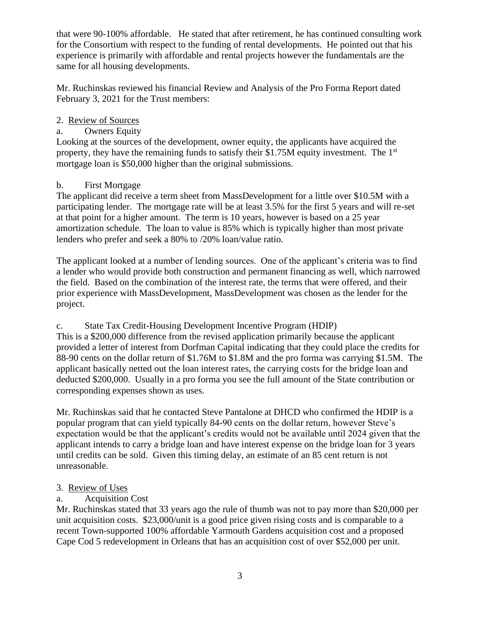that were 90-100% affordable. He stated that after retirement, he has continued consulting work for the Consortium with respect to the funding of rental developments. He pointed out that his experience is primarily with affordable and rental projects however the fundamentals are the same for all housing developments.

Mr. Ruchinskas reviewed his financial Review and Analysis of the Pro Forma Report dated February 3, 2021 for the Trust members:

# 2. Review of Sources

# a. Owners Equity

Looking at the sources of the development, owner equity, the applicants have acquired the property, they have the remaining funds to satisfy their \$1.75M equity investment. The  $1<sup>st</sup>$ mortgage loan is \$50,000 higher than the original submissions.

# b. First Mortgage

The applicant did receive a term sheet from MassDevelopment for a little over \$10.5M with a participating lender. The mortgage rate will be at least 3.5% for the first 5 years and will re-set at that point for a higher amount. The term is 10 years, however is based on a 25 year amortization schedule. The loan to value is 85% which is typically higher than most private lenders who prefer and seek a 80% to /20% loan/value ratio.

The applicant looked at a number of lending sources. One of the applicant's criteria was to find a lender who would provide both construction and permanent financing as well, which narrowed the field. Based on the combination of the interest rate, the terms that were offered, and their prior experience with MassDevelopment, MassDevelopment was chosen as the lender for the project.

# c. State Tax Credit-Housing Development Incentive Program (HDIP)

This is a \$200,000 difference from the revised application primarily because the applicant provided a letter of interest from Dorfman Capital indicating that they could place the credits for 88-90 cents on the dollar return of \$1.76M to \$1.8M and the pro forma was carrying \$1.5M. The applicant basically netted out the loan interest rates, the carrying costs for the bridge loan and deducted \$200,000. Usually in a pro forma you see the full amount of the State contribution or corresponding expenses shown as uses.

Mr. Ruchinskas said that he contacted Steve Pantalone at DHCD who confirmed the HDIP is a popular program that can yield typically 84-90 cents on the dollar return, however Steve's expectation would be that the applicant's credits would not be available until 2024 given that the applicant intends to carry a bridge loan and have interest expense on the bridge loan for 3 years until credits can be sold. Given this timing delay, an estimate of an 85 cent return is not unreasonable.

# 3. Review of Uses

# a. Acquisition Cost

Mr. Ruchinskas stated that 33 years ago the rule of thumb was not to pay more than \$20,000 per unit acquisition costs. \$23,000/unit is a good price given rising costs and is comparable to a recent Town-supported 100% affordable Yarmouth Gardens acquisition cost and a proposed Cape Cod 5 redevelopment in Orleans that has an acquisition cost of over \$52,000 per unit.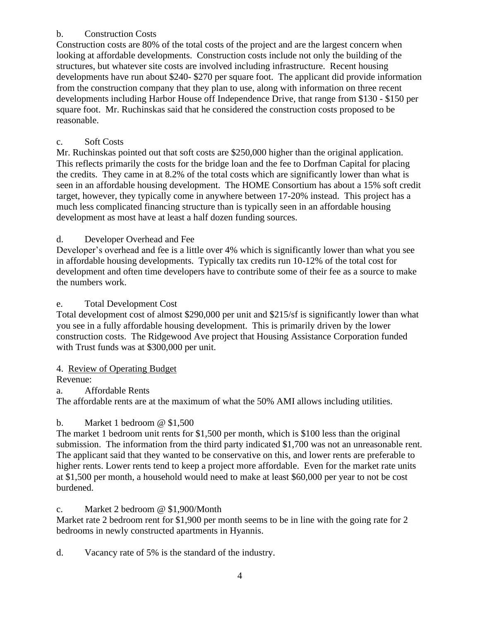# b. Construction Costs

Construction costs are 80% of the total costs of the project and are the largest concern when looking at affordable developments. Construction costs include not only the building of the structures, but whatever site costs are involved including infrastructure. Recent housing developments have run about \$240- \$270 per square foot. The applicant did provide information from the construction company that they plan to use, along with information on three recent developments including Harbor House off Independence Drive, that range from \$130 - \$150 per square foot. Mr. Ruchinskas said that he considered the construction costs proposed to be reasonable.

# c. Soft Costs

Mr. Ruchinskas pointed out that soft costs are \$250,000 higher than the original application. This reflects primarily the costs for the bridge loan and the fee to Dorfman Capital for placing the credits. They came in at 8.2% of the total costs which are significantly lower than what is seen in an affordable housing development. The HOME Consortium has about a 15% soft credit target, however, they typically come in anywhere between 17-20% instead. This project has a much less complicated financing structure than is typically seen in an affordable housing development as most have at least a half dozen funding sources.

# d. Developer Overhead and Fee

Developer's overhead and fee is a little over 4% which is significantly lower than what you see in affordable housing developments. Typically tax credits run 10-12% of the total cost for development and often time developers have to contribute some of their fee as a source to make the numbers work.

# e. Total Development Cost

Total development cost of almost \$290,000 per unit and \$215/sf is significantly lower than what you see in a fully affordable housing development. This is primarily driven by the lower construction costs. The Ridgewood Ave project that Housing Assistance Corporation funded with Trust funds was at \$300,000 per unit.

# 4. Review of Operating Budget

Revenue:

a. Affordable Rents

The affordable rents are at the maximum of what the 50% AMI allows including utilities.

# b. Market 1 bedroom @ \$1,500

The market 1 bedroom unit rents for \$1,500 per month, which is \$100 less than the original submission. The information from the third party indicated \$1,700 was not an unreasonable rent. The applicant said that they wanted to be conservative on this, and lower rents are preferable to higher rents. Lower rents tend to keep a project more affordable. Even for the market rate units at \$1,500 per month, a household would need to make at least \$60,000 per year to not be cost burdened.

# c. Market 2 bedroom @ \$1,900/Month

Market rate 2 bedroom rent for \$1,900 per month seems to be in line with the going rate for 2 bedrooms in newly constructed apartments in Hyannis.

d. Vacancy rate of 5% is the standard of the industry.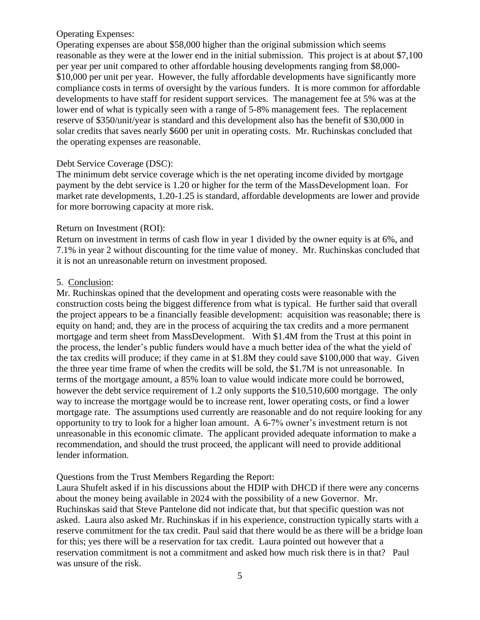#### Operating Expenses:

Operating expenses are about \$58,000 higher than the original submission which seems reasonable as they were at the lower end in the initial submission. This project is at about \$7,100 per year per unit compared to other affordable housing developments ranging from \$8,000- \$10,000 per unit per year. However, the fully affordable developments have significantly more compliance costs in terms of oversight by the various funders. It is more common for affordable developments to have staff for resident support services. The management fee at 5% was at the lower end of what is typically seen with a range of 5-8% management fees. The replacement reserve of \$350/unit/year is standard and this development also has the benefit of \$30,000 in solar credits that saves nearly \$600 per unit in operating costs. Mr. Ruchinskas concluded that the operating expenses are reasonable.

#### Debt Service Coverage (DSC):

The minimum debt service coverage which is the net operating income divided by mortgage payment by the debt service is 1.20 or higher for the term of the MassDevelopment loan. For market rate developments, 1.20-1.25 is standard, affordable developments are lower and provide for more borrowing capacity at more risk.

#### Return on Investment (ROI):

Return on investment in terms of cash flow in year 1 divided by the owner equity is at 6%, and 7.1% in year 2 without discounting for the time value of money. Mr. Ruchinskas concluded that it is not an unreasonable return on investment proposed.

#### 5. Conclusion:

Mr. Ruchinskas opined that the development and operating costs were reasonable with the construction costs being the biggest difference from what is typical. He further said that overall the project appears to be a financially feasible development: acquisition was reasonable; there is equity on hand; and, they are in the process of acquiring the tax credits and a more permanent mortgage and term sheet from MassDevelopment. With \$1.4M from the Trust at this point in the process, the lender's public funders would have a much better idea of the what the yield of the tax credits will produce; if they came in at \$1.8M they could save \$100,000 that way. Given the three year time frame of when the credits will be sold, the \$1.7M is not unreasonable. In terms of the mortgage amount, a 85% loan to value would indicate more could be borrowed, however the debt service requirement of 1.2 only supports the \$10,510,600 mortgage. The only way to increase the mortgage would be to increase rent, lower operating costs, or find a lower mortgage rate. The assumptions used currently are reasonable and do not require looking for any opportunity to try to look for a higher loan amount. A 6-7% owner's investment return is not unreasonable in this economic climate. The applicant provided adequate information to make a recommendation, and should the trust proceed, the applicant will need to provide additional lender information.

#### Questions from the Trust Members Regarding the Report:

Laura Shufelt asked if in his discussions about the HDIP with DHCD if there were any concerns about the money being available in 2024 with the possibility of a new Governor. Mr. Ruchinskas said that Steve Pantelone did not indicate that, but that specific question was not asked. Laura also asked Mr. Ruchinskas if in his experience, construction typically starts with a reserve commitment for the tax credit. Paul said that there would be as there will be a bridge loan for this; yes there will be a reservation for tax credit. Laura pointed out however that a reservation commitment is not a commitment and asked how much risk there is in that? Paul was unsure of the risk.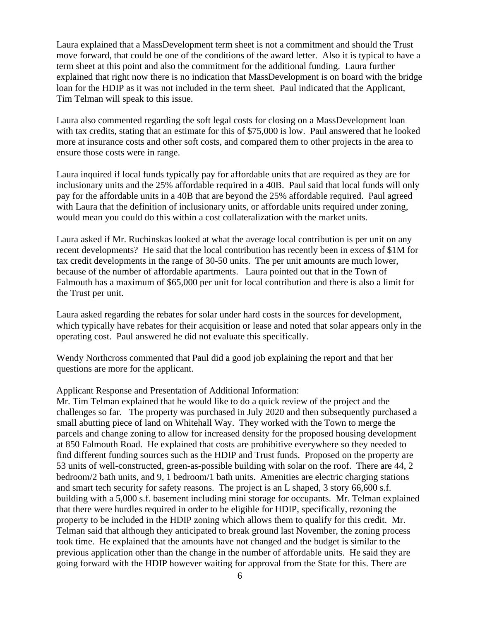Laura explained that a MassDevelopment term sheet is not a commitment and should the Trust move forward, that could be one of the conditions of the award letter. Also it is typical to have a term sheet at this point and also the commitment for the additional funding. Laura further explained that right now there is no indication that MassDevelopment is on board with the bridge loan for the HDIP as it was not included in the term sheet. Paul indicated that the Applicant, Tim Telman will speak to this issue.

Laura also commented regarding the soft legal costs for closing on a MassDevelopment loan with tax credits, stating that an estimate for this of \$75,000 is low. Paul answered that he looked more at insurance costs and other soft costs, and compared them to other projects in the area to ensure those costs were in range.

Laura inquired if local funds typically pay for affordable units that are required as they are for inclusionary units and the 25% affordable required in a 40B. Paul said that local funds will only pay for the affordable units in a 40B that are beyond the 25% affordable required. Paul agreed with Laura that the definition of inclusionary units, or affordable units required under zoning, would mean you could do this within a cost collateralization with the market units.

Laura asked if Mr. Ruchinskas looked at what the average local contribution is per unit on any recent developments? He said that the local contribution has recently been in excess of \$1M for tax credit developments in the range of 30-50 units. The per unit amounts are much lower, because of the number of affordable apartments. Laura pointed out that in the Town of Falmouth has a maximum of \$65,000 per unit for local contribution and there is also a limit for the Trust per unit.

Laura asked regarding the rebates for solar under hard costs in the sources for development, which typically have rebates for their acquisition or lease and noted that solar appears only in the operating cost. Paul answered he did not evaluate this specifically.

Wendy Northcross commented that Paul did a good job explaining the report and that her questions are more for the applicant.

#### Applicant Response and Presentation of Additional Information:

Mr. Tim Telman explained that he would like to do a quick review of the project and the challenges so far. The property was purchased in July 2020 and then subsequently purchased a small abutting piece of land on Whitehall Way. They worked with the Town to merge the parcels and change zoning to allow for increased density for the proposed housing development at 850 Falmouth Road. He explained that costs are prohibitive everywhere so they needed to find different funding sources such as the HDIP and Trust funds. Proposed on the property are 53 units of well-constructed, green-as-possible building with solar on the roof. There are 44, 2 bedroom/2 bath units, and 9, 1 bedroom/1 bath units. Amenities are electric charging stations and smart tech security for safety reasons. The project is an L shaped, 3 story 66,600 s.f. building with a 5,000 s.f. basement including mini storage for occupants. Mr. Telman explained that there were hurdles required in order to be eligible for HDIP, specifically, rezoning the property to be included in the HDIP zoning which allows them to qualify for this credit. Mr. Telman said that although they anticipated to break ground last November, the zoning process took time. He explained that the amounts have not changed and the budget is similar to the previous application other than the change in the number of affordable units. He said they are going forward with the HDIP however waiting for approval from the State for this. There are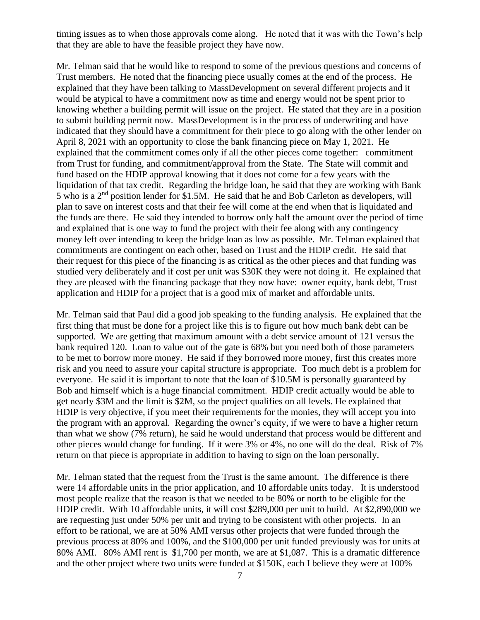timing issues as to when those approvals come along. He noted that it was with the Town's help that they are able to have the feasible project they have now.

Mr. Telman said that he would like to respond to some of the previous questions and concerns of Trust members. He noted that the financing piece usually comes at the end of the process. He explained that they have been talking to MassDevelopment on several different projects and it would be atypical to have a commitment now as time and energy would not be spent prior to knowing whether a building permit will issue on the project. He stated that they are in a position to submit building permit now. MassDevelopment is in the process of underwriting and have indicated that they should have a commitment for their piece to go along with the other lender on April 8, 2021 with an opportunity to close the bank financing piece on May 1, 2021. He explained that the commitment comes only if all the other pieces come together: commitment from Trust for funding, and commitment/approval from the State. The State will commit and fund based on the HDIP approval knowing that it does not come for a few years with the liquidation of that tax credit. Regarding the bridge loan, he said that they are working with Bank 5 who is a 2nd position lender for \$1.5M. He said that he and Bob Carleton as developers, will plan to save on interest costs and that their fee will come at the end when that is liquidated and the funds are there. He said they intended to borrow only half the amount over the period of time and explained that is one way to fund the project with their fee along with any contingency money left over intending to keep the bridge loan as low as possible. Mr. Telman explained that commitments are contingent on each other, based on Trust and the HDIP credit. He said that their request for this piece of the financing is as critical as the other pieces and that funding was studied very deliberately and if cost per unit was \$30K they were not doing it. He explained that they are pleased with the financing package that they now have: owner equity, bank debt, Trust application and HDIP for a project that is a good mix of market and affordable units.

Mr. Telman said that Paul did a good job speaking to the funding analysis. He explained that the first thing that must be done for a project like this is to figure out how much bank debt can be supported. We are getting that maximum amount with a debt service amount of 121 versus the bank required 120. Loan to value out of the gate is 68% but you need both of those parameters to be met to borrow more money. He said if they borrowed more money, first this creates more risk and you need to assure your capital structure is appropriate. Too much debt is a problem for everyone. He said it is important to note that the loan of \$10.5M is personally guaranteed by Bob and himself which is a huge financial commitment. HDIP credit actually would be able to get nearly \$3M and the limit is \$2M, so the project qualifies on all levels. He explained that HDIP is very objective, if you meet their requirements for the monies, they will accept you into the program with an approval. Regarding the owner's equity, if we were to have a higher return than what we show (7% return), he said he would understand that process would be different and other pieces would change for funding. If it were 3% or 4%, no one will do the deal. Risk of 7% return on that piece is appropriate in addition to having to sign on the loan personally.

Mr. Telman stated that the request from the Trust is the same amount. The difference is there were 14 affordable units in the prior application, and 10 affordable units today. It is understood most people realize that the reason is that we needed to be 80% or north to be eligible for the HDIP credit. With 10 affordable units, it will cost \$289,000 per unit to build. At \$2,890,000 we are requesting just under 50% per unit and trying to be consistent with other projects. In an effort to be rational, we are at 50% AMI versus other projects that were funded through the previous process at 80% and 100%, and the \$100,000 per unit funded previously was for units at 80% AMI. 80% AMI rent is \$1,700 per month, we are at \$1,087. This is a dramatic difference and the other project where two units were funded at \$150K, each I believe they were at 100%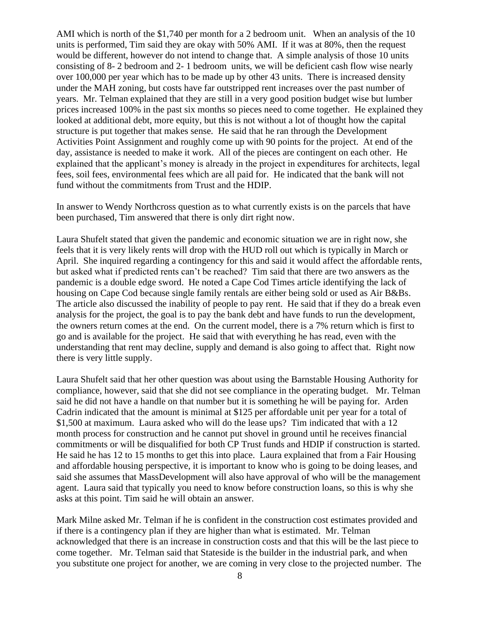AMI which is north of the \$1,740 per month for a 2 bedroom unit. When an analysis of the 10 units is performed, Tim said they are okay with 50% AMI. If it was at 80%, then the request would be different, however do not intend to change that. A simple analysis of those 10 units consisting of 8- 2 bedroom and 2- 1 bedroom units, we will be deficient cash flow wise nearly over 100,000 per year which has to be made up by other 43 units. There is increased density under the MAH zoning, but costs have far outstripped rent increases over the past number of years. Mr. Telman explained that they are still in a very good position budget wise but lumber prices increased 100% in the past six months so pieces need to come together. He explained they looked at additional debt, more equity, but this is not without a lot of thought how the capital structure is put together that makes sense. He said that he ran through the Development Activities Point Assignment and roughly come up with 90 points for the project. At end of the day, assistance is needed to make it work. All of the pieces are contingent on each other. He explained that the applicant's money is already in the project in expenditures for architects, legal fees, soil fees, environmental fees which are all paid for. He indicated that the bank will not fund without the commitments from Trust and the HDIP.

In answer to Wendy Northcross question as to what currently exists is on the parcels that have been purchased, Tim answered that there is only dirt right now.

Laura Shufelt stated that given the pandemic and economic situation we are in right now, she feels that it is very likely rents will drop with the HUD roll out which is typically in March or April. She inquired regarding a contingency for this and said it would affect the affordable rents, but asked what if predicted rents can't be reached? Tim said that there are two answers as the pandemic is a double edge sword. He noted a Cape Cod Times article identifying the lack of housing on Cape Cod because single family rentals are either being sold or used as Air B&Bs. The article also discussed the inability of people to pay rent. He said that if they do a break even analysis for the project, the goal is to pay the bank debt and have funds to run the development, the owners return comes at the end. On the current model, there is a 7% return which is first to go and is available for the project. He said that with everything he has read, even with the understanding that rent may decline, supply and demand is also going to affect that. Right now there is very little supply.

Laura Shufelt said that her other question was about using the Barnstable Housing Authority for compliance, however, said that she did not see compliance in the operating budget. Mr. Telman said he did not have a handle on that number but it is something he will be paying for. Arden Cadrin indicated that the amount is minimal at \$125 per affordable unit per year for a total of \$1,500 at maximum. Laura asked who will do the lease ups? Tim indicated that with a 12 month process for construction and he cannot put shovel in ground until he receives financial commitments or will be disqualified for both CP Trust funds and HDIP if construction is started. He said he has 12 to 15 months to get this into place. Laura explained that from a Fair Housing and affordable housing perspective, it is important to know who is going to be doing leases, and said she assumes that MassDevelopment will also have approval of who will be the management agent. Laura said that typically you need to know before construction loans, so this is why she asks at this point. Tim said he will obtain an answer.

Mark Milne asked Mr. Telman if he is confident in the construction cost estimates provided and if there is a contingency plan if they are higher than what is estimated. Mr. Telman acknowledged that there is an increase in construction costs and that this will be the last piece to come together. Mr. Telman said that Stateside is the builder in the industrial park, and when you substitute one project for another, we are coming in very close to the projected number. The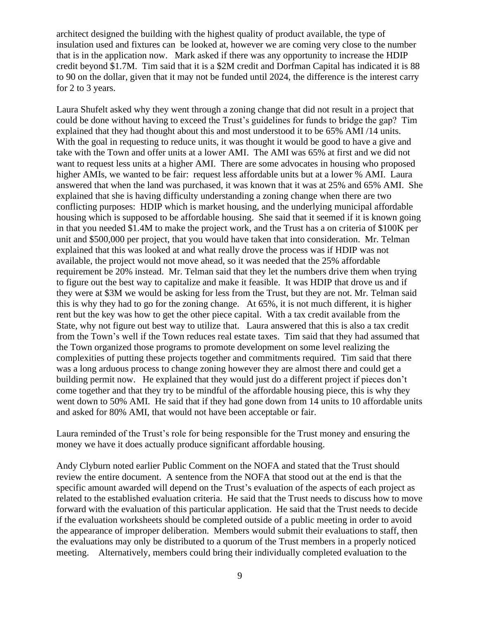architect designed the building with the highest quality of product available, the type of insulation used and fixtures can be looked at, however we are coming very close to the number that is in the application now. Mark asked if there was any opportunity to increase the HDIP credit beyond \$1.7M. Tim said that it is a \$2M credit and Dorfman Capital has indicated it is 88 to 90 on the dollar, given that it may not be funded until 2024, the difference is the interest carry for 2 to 3 years.

Laura Shufelt asked why they went through a zoning change that did not result in a project that could be done without having to exceed the Trust's guidelines for funds to bridge the gap? Tim explained that they had thought about this and most understood it to be 65% AMI /14 units. With the goal in requesting to reduce units, it was thought it would be good to have a give and take with the Town and offer units at a lower AMI. The AMI was 65% at first and we did not want to request less units at a higher AMI. There are some advocates in housing who proposed higher AMIs, we wanted to be fair: request less affordable units but at a lower % AMI. Laura answered that when the land was purchased, it was known that it was at 25% and 65% AMI. She explained that she is having difficulty understanding a zoning change when there are two conflicting purposes: HDIP which is market housing, and the underlying municipal affordable housing which is supposed to be affordable housing. She said that it seemed if it is known going in that you needed \$1.4M to make the project work, and the Trust has a on criteria of \$100K per unit and \$500,000 per project, that you would have taken that into consideration. Mr. Telman explained that this was looked at and what really drove the process was if HDIP was not available, the project would not move ahead, so it was needed that the 25% affordable requirement be 20% instead. Mr. Telman said that they let the numbers drive them when trying to figure out the best way to capitalize and make it feasible. It was HDIP that drove us and if they were at \$3M we would be asking for less from the Trust, but they are not. Mr. Telman said this is why they had to go for the zoning change. At 65%, it is not much different, it is higher rent but the key was how to get the other piece capital. With a tax credit available from the State, why not figure out best way to utilize that. Laura answered that this is also a tax credit from the Town's well if the Town reduces real estate taxes. Tim said that they had assumed that the Town organized those programs to promote development on some level realizing the complexities of putting these projects together and commitments required. Tim said that there was a long arduous process to change zoning however they are almost there and could get a building permit now. He explained that they would just do a different project if pieces don't come together and that they try to be mindful of the affordable housing piece, this is why they went down to 50% AMI. He said that if they had gone down from 14 units to 10 affordable units and asked for 80% AMI, that would not have been acceptable or fair.

Laura reminded of the Trust's role for being responsible for the Trust money and ensuring the money we have it does actually produce significant affordable housing.

Andy Clyburn noted earlier Public Comment on the NOFA and stated that the Trust should review the entire document. A sentence from the NOFA that stood out at the end is that the specific amount awarded will depend on the Trust's evaluation of the aspects of each project as related to the established evaluation criteria. He said that the Trust needs to discuss how to move forward with the evaluation of this particular application. He said that the Trust needs to decide if the evaluation worksheets should be completed outside of a public meeting in order to avoid the appearance of improper deliberation. Members would submit their evaluations to staff, then the evaluations may only be distributed to a quorum of the Trust members in a properly noticed meeting. Alternatively, members could bring their individually completed evaluation to the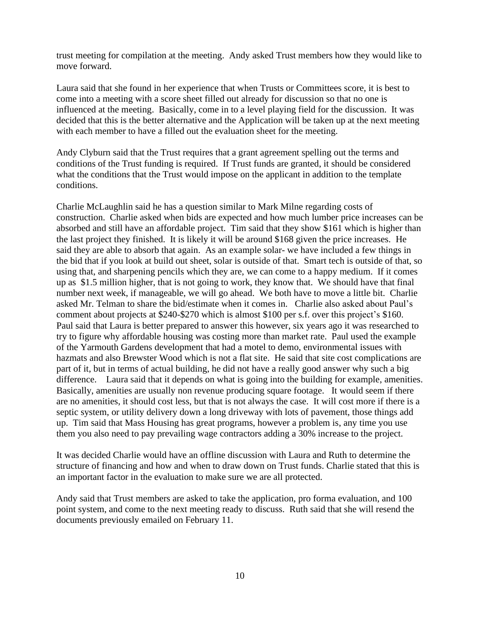trust meeting for compilation at the meeting. Andy asked Trust members how they would like to move forward.

Laura said that she found in her experience that when Trusts or Committees score, it is best to come into a meeting with a score sheet filled out already for discussion so that no one is influenced at the meeting. Basically, come in to a level playing field for the discussion. It was decided that this is the better alternative and the Application will be taken up at the next meeting with each member to have a filled out the evaluation sheet for the meeting.

Andy Clyburn said that the Trust requires that a grant agreement spelling out the terms and conditions of the Trust funding is required. If Trust funds are granted, it should be considered what the conditions that the Trust would impose on the applicant in addition to the template conditions.

Charlie McLaughlin said he has a question similar to Mark Milne regarding costs of construction. Charlie asked when bids are expected and how much lumber price increases can be absorbed and still have an affordable project. Tim said that they show \$161 which is higher than the last project they finished. It is likely it will be around \$168 given the price increases. He said they are able to absorb that again. As an example solar- we have included a few things in the bid that if you look at build out sheet, solar is outside of that. Smart tech is outside of that, so using that, and sharpening pencils which they are, we can come to a happy medium. If it comes up as \$1.5 million higher, that is not going to work, they know that. We should have that final number next week, if manageable, we will go ahead. We both have to move a little bit. Charlie asked Mr. Telman to share the bid/estimate when it comes in. Charlie also asked about Paul's comment about projects at \$240-\$270 which is almost \$100 per s.f. over this project's \$160. Paul said that Laura is better prepared to answer this however, six years ago it was researched to try to figure why affordable housing was costing more than market rate. Paul used the example of the Yarmouth Gardens development that had a motel to demo, environmental issues with hazmats and also Brewster Wood which is not a flat site. He said that site cost complications are part of it, but in terms of actual building, he did not have a really good answer why such a big difference. Laura said that it depends on what is going into the building for example, amenities. Basically, amenities are usually non revenue producing square footage. It would seem if there are no amenities, it should cost less, but that is not always the case. It will cost more if there is a septic system, or utility delivery down a long driveway with lots of pavement, those things add up. Tim said that Mass Housing has great programs, however a problem is, any time you use them you also need to pay prevailing wage contractors adding a 30% increase to the project.

It was decided Charlie would have an offline discussion with Laura and Ruth to determine the structure of financing and how and when to draw down on Trust funds. Charlie stated that this is an important factor in the evaluation to make sure we are all protected.

Andy said that Trust members are asked to take the application, pro forma evaluation, and 100 point system, and come to the next meeting ready to discuss. Ruth said that she will resend the documents previously emailed on February 11.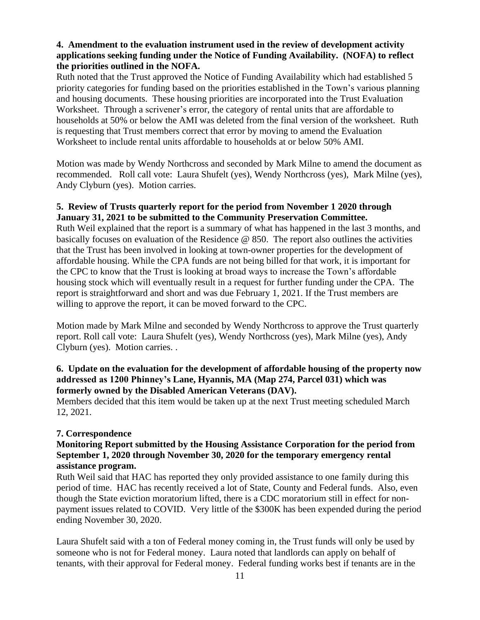#### **4. Amendment to the evaluation instrument used in the review of development activity applications seeking funding under the Notice of Funding Availability. (NOFA) to reflect the priorities outlined in the NOFA.**

Ruth noted that the Trust approved the Notice of Funding Availability which had established 5 priority categories for funding based on the priorities established in the Town's various planning and housing documents. These housing priorities are incorporated into the Trust Evaluation Worksheet. Through a scrivener's error, the category of rental units that are affordable to households at 50% or below the AMI was deleted from the final version of the worksheet. Ruth is requesting that Trust members correct that error by moving to amend the Evaluation Worksheet to include rental units affordable to households at or below 50% AMI.

Motion was made by Wendy Northcross and seconded by Mark Milne to amend the document as recommended. Roll call vote: Laura Shufelt (yes), Wendy Northcross (yes), Mark Milne (yes), Andy Clyburn (yes). Motion carries.

# **5. Review of Trusts quarterly report for the period from November 1 2020 through January 31, 2021 to be submitted to the Community Preservation Committee.**

Ruth Weil explained that the report is a summary of what has happened in the last 3 months, and basically focuses on evaluation of the Residence @ 850. The report also outlines the activities that the Trust has been involved in looking at town-owner properties for the development of affordable housing. While the CPA funds are not being billed for that work, it is important for the CPC to know that the Trust is looking at broad ways to increase the Town's affordable housing stock which will eventually result in a request for further funding under the CPA. The report is straightforward and short and was due February 1, 2021. If the Trust members are willing to approve the report, it can be moved forward to the CPC.

Motion made by Mark Milne and seconded by Wendy Northcross to approve the Trust quarterly report. Roll call vote: Laura Shufelt (yes), Wendy Northcross (yes), Mark Milne (yes), Andy Clyburn (yes). Motion carries. .

# **6. Update on the evaluation for the development of affordable housing of the property now addressed as 1200 Phinney's Lane, Hyannis, MA (Map 274, Parcel 031) which was formerly owned by the Disabled American Veterans (DAV).**

Members decided that this item would be taken up at the next Trust meeting scheduled March 12, 2021.

# **7. Correspondence**

# **Monitoring Report submitted by the Housing Assistance Corporation for the period from September 1, 2020 through November 30, 2020 for the temporary emergency rental assistance program.**

Ruth Weil said that HAC has reported they only provided assistance to one family during this period of time. HAC has recently received a lot of State, County and Federal funds. Also, even though the State eviction moratorium lifted, there is a CDC moratorium still in effect for nonpayment issues related to COVID. Very little of the \$300K has been expended during the period ending November 30, 2020.

Laura Shufelt said with a ton of Federal money coming in, the Trust funds will only be used by someone who is not for Federal money. Laura noted that landlords can apply on behalf of tenants, with their approval for Federal money. Federal funding works best if tenants are in the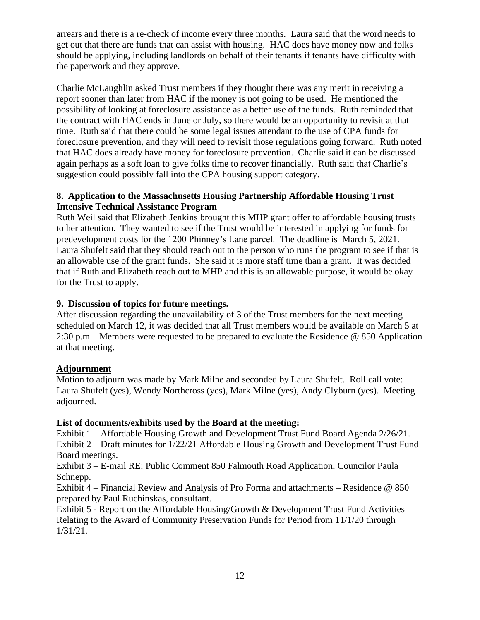arrears and there is a re-check of income every three months. Laura said that the word needs to get out that there are funds that can assist with housing. HAC does have money now and folks should be applying, including landlords on behalf of their tenants if tenants have difficulty with the paperwork and they approve.

Charlie McLaughlin asked Trust members if they thought there was any merit in receiving a report sooner than later from HAC if the money is not going to be used. He mentioned the possibility of looking at foreclosure assistance as a better use of the funds. Ruth reminded that the contract with HAC ends in June or July, so there would be an opportunity to revisit at that time. Ruth said that there could be some legal issues attendant to the use of CPA funds for foreclosure prevention, and they will need to revisit those regulations going forward. Ruth noted that HAC does already have money for foreclosure prevention. Charlie said it can be discussed again perhaps as a soft loan to give folks time to recover financially. Ruth said that Charlie's suggestion could possibly fall into the CPA housing support category.

# **8. Application to the Massachusetts Housing Partnership Affordable Housing Trust Intensive Technical Assistance Program**

Ruth Weil said that Elizabeth Jenkins brought this MHP grant offer to affordable housing trusts to her attention. They wanted to see if the Trust would be interested in applying for funds for predevelopment costs for the 1200 Phinney's Lane parcel. The deadline is March 5, 2021. Laura Shufelt said that they should reach out to the person who runs the program to see if that is an allowable use of the grant funds. She said it is more staff time than a grant. It was decided that if Ruth and Elizabeth reach out to MHP and this is an allowable purpose, it would be okay for the Trust to apply.

# **9. Discussion of topics for future meetings.**

After discussion regarding the unavailability of 3 of the Trust members for the next meeting scheduled on March 12, it was decided that all Trust members would be available on March 5 at 2:30 p.m. Members were requested to be prepared to evaluate the Residence @ 850 Application at that meeting.

# **Adjournment**

Motion to adjourn was made by Mark Milne and seconded by Laura Shufelt. Roll call vote: Laura Shufelt (yes), Wendy Northcross (yes), Mark Milne (yes), Andy Clyburn (yes). Meeting adjourned.

# **List of documents/exhibits used by the Board at the meeting:**

Exhibit 1 – Affordable Housing Growth and Development Trust Fund Board Agenda 2/26/21. Exhibit 2 – Draft minutes for 1/22/21 Affordable Housing Growth and Development Trust Fund Board meetings.

Exhibit 3 – E-mail RE: Public Comment 850 Falmouth Road Application, Councilor Paula Schnepp.

Exhibit 4 – Financial Review and Analysis of Pro Forma and attachments – Residence @ 850 prepared by Paul Ruchinskas, consultant.

Exhibit 5 - Report on the Affordable Housing/Growth & Development Trust Fund Activities Relating to the Award of Community Preservation Funds for Period from 11/1/20 through 1/31/21.